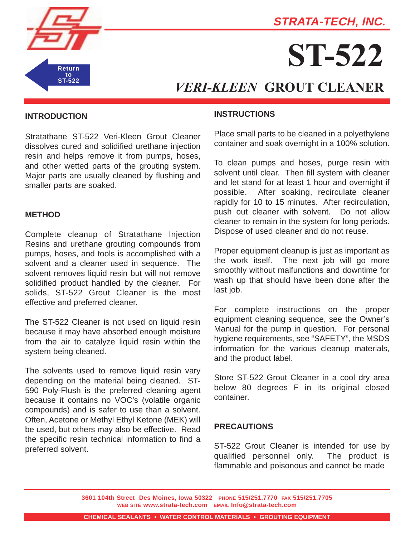



# **ST-522**

# *VERI-KLEEN* **GROUT CLEANER**

# **INTRODUCTION**

Stratathane ST-522 Veri-Kleen Grout Cleaner dissolves cured and solidified urethane injection resin and helps remove it from pumps, hoses, and other wetted parts of the grouting system. Major parts are usually cleaned by flushing and smaller parts are soaked.

#### **METHOD**

Complete cleanup of Stratathane Injection Resins and urethane grouting compounds from pumps, hoses, and tools is accomplished with a solvent and a cleaner used in sequence. The solvent removes liquid resin but will not remove solidified product handled by the cleaner. For solids, ST-522 Grout Cleaner is the most effective and preferred cleaner.

The ST-522 Cleaner is not used on liquid resin because it may have absorbed enough moisture from the air to catalyze liquid resin within the system being cleaned.

The solvents used to remove liquid resin vary depending on the material being cleaned. ST-590 Poly-Flush is the preferred cleaning agent because it contains no VOC's (volatile organic compounds) and is safer to use than a solvent. Often, Acetone or Methyl Ethyl Ketone (MEK) will be used, but others may also be effective. Read the specific resin technical information to find a preferred solvent.

#### **INSTRUCTIONS**

Place small parts to be cleaned in a polyethylene container and soak overnight in a 100% solution.

To clean pumps and hoses, purge resin with solvent until clear. Then fill system with cleaner and let stand for at least 1 hour and overnight if possible. After soaking, recirculate cleaner rapidly for 10 to 15 minutes. After recirculation, push out cleaner with solvent. Do not allow cleaner to remain in the system for long periods. Dispose of used cleaner and do not reuse.

Proper equipment cleanup is just as important as the work itself. The next job will go more smoothly without malfunctions and downtime for wash up that should have been done after the last job.

For complete instructions on the proper equipment cleaning sequence, see the Owner's Manual for the pump in question. For personal hygiene requirements, see "SAFETY", the MSDS information for the various cleanup materials, and the product label.

Store ST-522 Grout Cleaner in a cool dry area below 80 degrees F in its original closed container.

## **PRECAUTIONS**

ST-522 Grout Cleaner is intended for use by qualified personnel only. The product is flammable and poisonous and cannot be made

**3601 104th Street Des Moines, Iowa 50322 PHONE 515/251.7770 FAX 515/251.7705 WEB SITE www.strata-tech.com EMAIL Info@strata-tech.com**